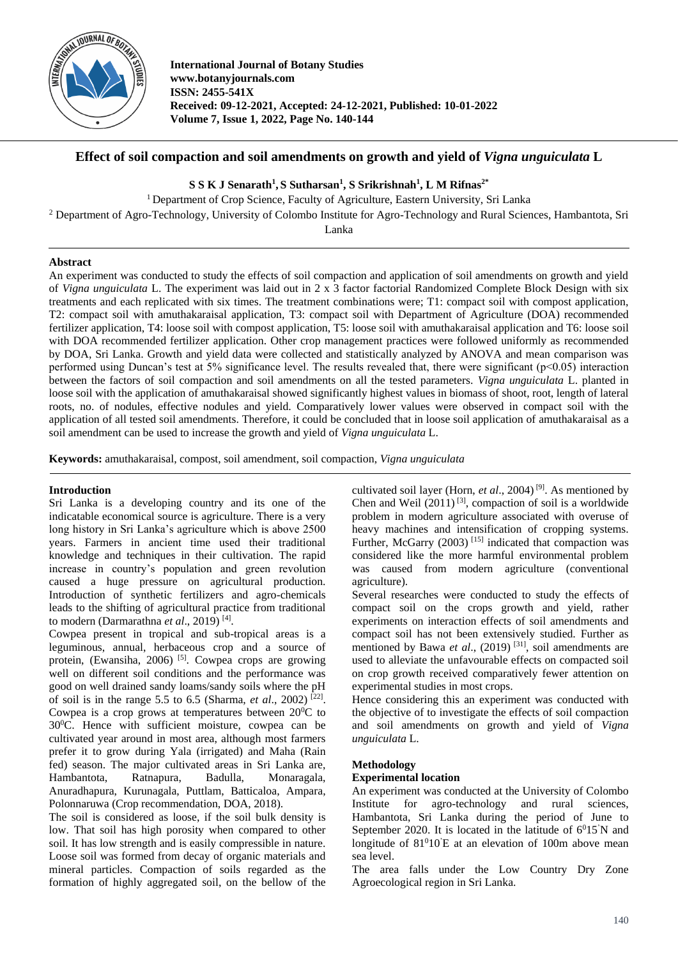

**International Journal of Botany Studies www.botanyjournals.com ISSN: 2455-541X Received: 09-12-2021, Accepted: 24-12-2021, Published: 10-01-2022 Volume 7, Issue 1, 2022, Page No. 140-144**

## **Effect of soil compaction and soil amendments on growth and yield of** *Vigna unguiculata* **L**

## **S S K J Senarath<sup>1</sup> , S Sutharsan<sup>1</sup> , S Srikrishnah<sup>1</sup> , L M Rifnas2\***

<sup>1</sup> Department of Crop Science, Faculty of Agriculture, Eastern University, Sri Lanka

<sup>2</sup> Department of Agro-Technology, University of Colombo Institute for Agro-Technology and Rural Sciences, Hambantota, Sri

Lanka

## **Abstract**

An experiment was conducted to study the effects of soil compaction and application of soil amendments on growth and yield of *Vigna unguiculata* L. The experiment was laid out in 2 x 3 factor factorial Randomized Complete Block Design with six treatments and each replicated with six times. The treatment combinations were; T1: compact soil with compost application, T2: compact soil with amuthakaraisal application, T3: compact soil with Department of Agriculture (DOA) recommended fertilizer application, T4: loose soil with compost application, T5: loose soil with amuthakaraisal application and T6: loose soil with DOA recommended fertilizer application. Other crop management practices were followed uniformly as recommended by DOA, Sri Lanka. Growth and yield data were collected and statistically analyzed by ANOVA and mean comparison was performed using Duncan's test at 5% significance level. The results revealed that, there were significant ( $p<0.05$ ) interaction between the factors of soil compaction and soil amendments on all the tested parameters. *Vigna unguiculata* L. planted in loose soil with the application of amuthakaraisal showed significantly highest values in biomass of shoot, root, length of lateral roots, no. of nodules, effective nodules and yield. Comparatively lower values were observed in compact soil with the application of all tested soil amendments. Therefore, it could be concluded that in loose soil application of amuthakaraisal as a soil amendment can be used to increase the growth and yield of *Vigna unguiculata* L.

**Keywords:** amuthakaraisal, compost, soil amendment, soil compaction, *Vigna unguiculata*

### **Introduction**

Sri Lanka is a developing country and its one of the indicatable economical source is agriculture. There is a very long history in Sri Lanka's agriculture which is above 2500 years. Farmers in ancient time used their traditional knowledge and techniques in their cultivation. The rapid increase in country's population and green revolution caused a huge pressure on agricultural production. Introduction of synthetic fertilizers and agro-chemicals leads to the shifting of agricultural practice from traditional to modern (Darmarathna *et al.*, 2019)<sup>[4]</sup>.

Cowpea present in tropical and sub-tropical areas is a leguminous, annual, herbaceous crop and a source of protein, (Ewansiha, 2006)<sup>[5]</sup>. Cowpea crops are growing well on different soil conditions and the performance was good on well drained sandy loams/sandy soils where the pH of soil is in the range 5.5 to 6.5 (Sharma, *et al.*, 2002)<sup>[22]</sup>. Cowpea is a crop grows at temperatures between  $20^0C$  to 30<sup>0</sup>C. Hence with sufficient moisture, cowpea can be cultivated year around in most area, although most farmers prefer it to grow during Yala (irrigated) and Maha (Rain fed) season. The major cultivated areas in Sri Lanka are, Hambantota, Ratnapura, Badulla, Monaragala, Anuradhapura, Kurunagala, Puttlam, Batticaloa, Ampara, Polonnaruwa (Crop recommendation, DOA, 2018).

The soil is considered as loose, if the soil bulk density is low. That soil has high porosity when compared to other soil. It has low strength and is easily compressible in nature. Loose soil was formed from decay of organic materials and mineral particles. Compaction of soils regarded as the formation of highly aggregated soil, on the bellow of the

cultivated soil layer (Horn,  $et$   $al$ , 2004)<sup>[9]</sup>. As mentioned by Chen and Weil  $(2011)^{3}$ , compaction of soil is a worldwide problem in modern agriculture associated with overuse of heavy machines and intensification of cropping systems. Further, McGarry  $(2003)$ <sup>[15]</sup> indicated that compaction was considered like the more harmful environmental problem was caused from modern agriculture (conventional agriculture).

Several researches were conducted to study the effects of compact soil on the crops growth and yield, rather experiments on interaction effects of soil amendments and compact soil has not been extensively studied. Further as mentioned by Bawa et al., (2019)<sup>[31]</sup>, soil amendments are used to alleviate the unfavourable effects on compacted soil on crop growth received comparatively fewer attention on experimental studies in most crops.

Hence considering this an experiment was conducted with the objective of to investigate the effects of soil compaction and soil amendments on growth and yield of *Vigna unguiculata* L.

## **Methodology**

#### **Experimental location**

An experiment was conducted at the University of Colombo Institute for agro-technology and rural sciences, Hambantota, Sri Lanka during the period of June to September 2020. It is located in the latitude of  $6^015'N$  and longitude of  $81^010$ <sup>'</sup>E at an elevation of 100m above mean sea level.

The area falls under the Low Country Dry Zone Agroecological region in Sri Lanka.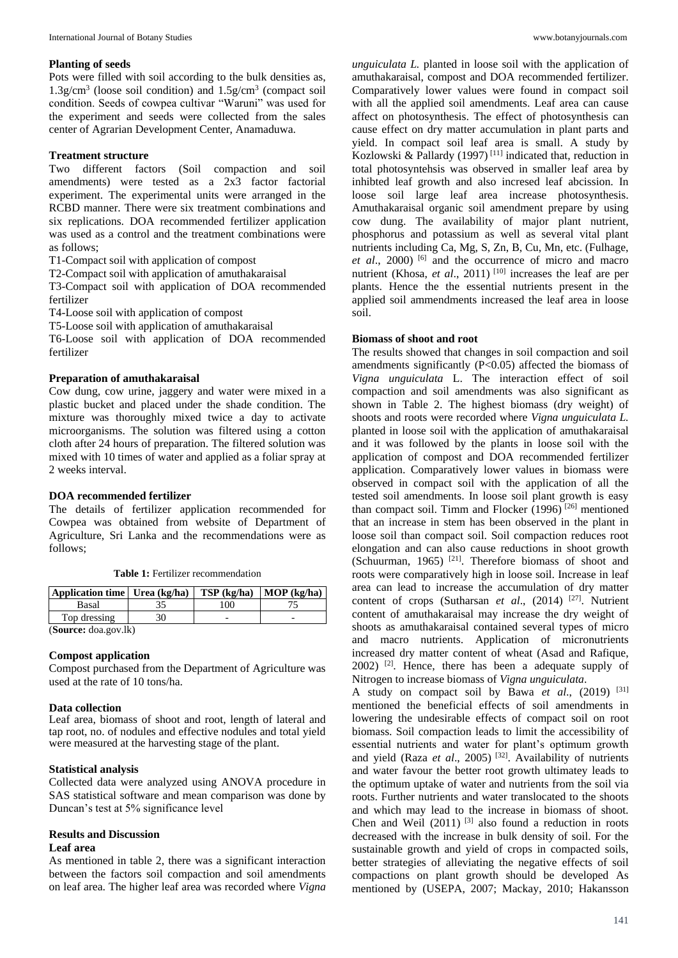#### **Planting of seeds**

Pots were filled with soil according to the bulk densities as, 1.3g/cm<sup>3</sup> (loose soil condition) and 1.5g/cm<sup>3</sup> (compact soil condition. Seeds of cowpea cultivar "Waruni" was used for the experiment and seeds were collected from the sales center of Agrarian Development Center, Anamaduwa.

#### **Treatment structure**

Two different factors (Soil compaction and soil amendments) were tested as a 2x3 factor factorial experiment. The experimental units were arranged in the RCBD manner. There were six treatment combinations and six replications. DOA recommended fertilizer application was used as a control and the treatment combinations were as follows;

T1-Compact soil with application of compost

T2-Compact soil with application of amuthakaraisal

T3-Compact soil with application of DOA recommended fertilizer

T4-Loose soil with application of compost

T5-Loose soil with application of amuthakaraisal

T6-Loose soil with application of DOA recommended fertilizer

#### **Preparation of amuthakaraisal**

Cow dung, cow urine, jaggery and water were mixed in a plastic bucket and placed under the shade condition. The mixture was thoroughly mixed twice a day to activate microorganisms. The solution was filtered using a cotton cloth after 24 hours of preparation. The filtered solution was mixed with 10 times of water and applied as a foliar spray at 2 weeks interval.

#### **DOA recommended fertilizer**

The details of fertilizer application recommended for Cowpea was obtained from website of Department of Agriculture, Sri Lanka and the recommendations were as follows;

**Table 1:** Fertilizer recommendation

| Application time   Urea (kg/ha)       |  | $TSP$ (kg/ha) | $MOP$ (kg/ha) |  |  |
|---------------------------------------|--|---------------|---------------|--|--|
| Basal                                 |  | $^{\rm o}00$  |               |  |  |
| Top dressing                          |  |               |               |  |  |
| $(\mathbf{C}_0, \dots, \mathbf{C}_n)$ |  |               |               |  |  |

(**Source:** doa.gov.lk)

#### **Compost application**

Compost purchased from the Department of Agriculture was used at the rate of 10 tons/ha.

#### **Data collection**

Leaf area, biomass of shoot and root, length of lateral and tap root, no. of nodules and effective nodules and total yield were measured at the harvesting stage of the plant.

#### **Statistical analysis**

Collected data were analyzed using ANOVA procedure in SAS statistical software and mean comparison was done by Duncan's test at 5% significance level

# **Results and Discussion**

## **Leaf area**

As mentioned in table 2, there was a significant interaction between the factors soil compaction and soil amendments on leaf area. The higher leaf area was recorded where *Vigna* 

*unguiculata L.* planted in loose soil with the application of amuthakaraisal, compost and DOA recommended fertilizer. Comparatively lower values were found in compact soil with all the applied soil amendments. Leaf area can cause affect on photosynthesis. The effect of photosynthesis can cause effect on dry matter accumulation in plant parts and yield. In compact soil leaf area is small. A study by Kozlowski & Pallardy (1997)<sup>[11]</sup> indicated that, reduction in total photosyntehsis was observed in smaller leaf area by inhibted leaf growth and also incresed leaf abcission. In loose soil large leaf area increase photosynthesis. Amuthakaraisal organic soil amendment prepare by using cow dung. The availability of major plant nutrient, phosphorus and potassium as well as several vital plant nutrients including Ca, Mg, S, Zn, B, Cu, Mn, etc. (Fulhage, et al., 2000)<sup>[6]</sup> and the occurrence of micro and macro nutrient (Khosa, *et al.*, 2011)<sup>[10]</sup> increases the leaf are per plants. Hence the the essential nutrients present in the applied soil ammendments increased the leaf area in loose soil.

#### **Biomass of shoot and root**

The results showed that changes in soil compaction and soil amendments significantly (P<0.05) affected the biomass of *Vigna unguiculata* L. The interaction effect of soil compaction and soil amendments was also significant as shown in Table 2. The highest biomass (dry weight) of shoots and roots were recorded where *Vigna unguiculata L.*  planted in loose soil with the application of amuthakaraisal and it was followed by the plants in loose soil with the application of compost and DOA recommended fertilizer application. Comparatively lower values in biomass were observed in compact soil with the application of all the tested soil amendments. In loose soil plant growth is easy than compact soil. Timm and Flocker  $(1996)$ <sup>[26]</sup> mentioned that an increase in stem has been observed in the plant in loose soil than compact soil. Soil compaction reduces root elongation and can also cause reductions in shoot growth (Schuurman, 1965) [21] . Therefore biomass of shoot and roots were comparatively high in loose soil. Increase in leaf area can lead to increase the accumulation of dry matter content of crops (Sutharsan *et al.*, (2014)<sup>[27]</sup>. Nutrient content of amuthakaraisal may increase the dry weight of shoots as amuthakaraisal contained several types of micro and macro nutrients. Application of micronutrients increased dry matter content of wheat (Asad and Rafique,  $2002$ ) <sup>[2]</sup>. Hence, there has been a adequate supply of Nitrogen to increase biomass of *Vigna unguiculata*.

A study on compact soil by Bawa *et al*., (2019) [31] mentioned the beneficial effects of soil amendments in lowering the undesirable effects of compact soil on root biomass. Soil compaction leads to limit the accessibility of essential nutrients and water for plant's optimum growth and yield (Raza et al., 2005)<sup>[32]</sup>. Availability of nutrients and water favour the better root growth ultimatey leads to the optimum uptake of water and nutrients from the soil via roots. Further nutrients and water translocated to the shoots and which may lead to the increase in biomass of shoot. Chen and Weil  $(2011)$ <sup>[3]</sup> also found a reduction in roots decreased with the increase in bulk density of soil. For the sustainable growth and yield of crops in compacted soils, better strategies of alleviating the negative effects of soil compactions on plant growth should be developed As mentioned by (USEPA, 2007; Mackay, 2010; Hakansson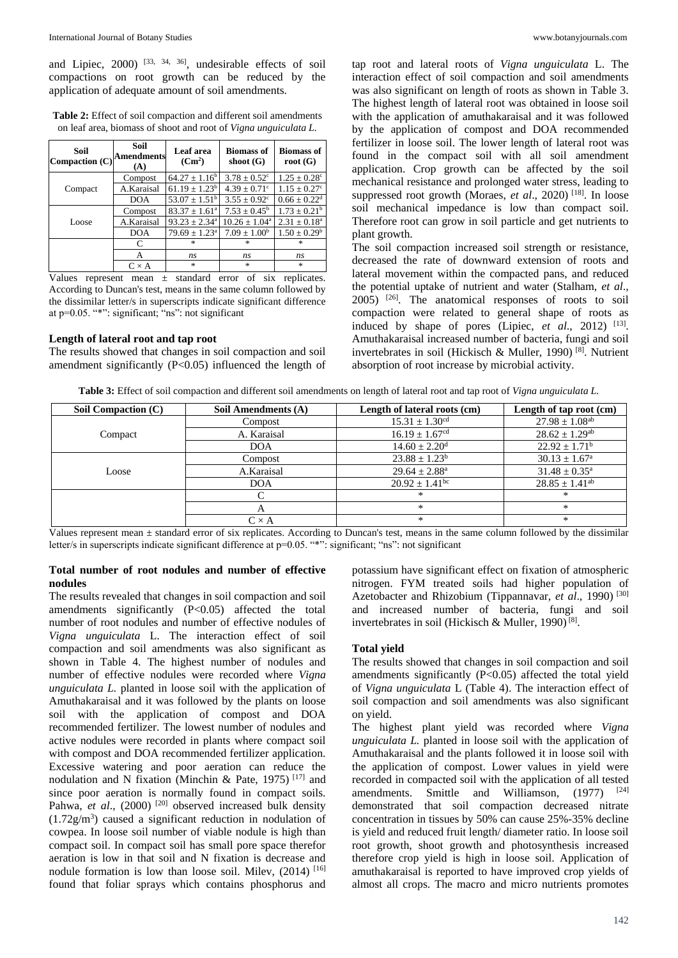and Lipiec,  $2000$  <sup>[33, 34, 36]</sup>, undesirable effects of soil compactions on root growth can be reduced by the application of adequate amount of soil amendments.

**Table 2:** Effect of soil compaction and different soil amendments on leaf area, biomass of shoot and root of *Vigna unguiculata L.*

| Soil<br>Compaction $(C)$ | Soil<br><b>Amendments</b><br>(A) | Leaf area<br>$(Cm^2)$    | <b>Biomass of</b><br>shoot $(G)$ | <b>Biomass of</b><br>root $(G)$ |
|--------------------------|----------------------------------|--------------------------|----------------------------------|---------------------------------|
| Compact                  | Compost                          | $64.27 \pm 1.16^b$       | $3.78 \pm 0.52$ <sup>c</sup>     | $1.25 \pm 0.28^{\circ}$         |
|                          | A.Karaisal                       | $61.19 \pm 1.23^b$       | $4.39 \pm 0.71$ °                | $1.15 \pm 0.27^c$               |
|                          | <b>DOA</b>                       | $53.07 \pm 1.51^{\rm b}$ | $3.55 \pm 0.92^{\circ}$          | $0.66 \pm 0.22$ <sup>d</sup>    |
| Loose                    | Compost                          | $83.37 \pm 1.61^a$       | $7.53 \pm 0.45^{\rm b}$          | $1.73 \pm 0.21^{\rm b}$         |
|                          | A.Karaisal                       | $93.23 \pm 2.34^a$       | $10.26 \pm 1.04^a$               | $2.31 \pm 0.18^a$               |
|                          | <b>DOA</b>                       | $79.69 \pm 1.23^{\circ}$ | $7.09 \pm 1.00^b$                | $1.50 \pm 0.29^b$               |
|                          | C                                | $\ast$                   | $\mathbf{x}$                     | $\ast$                          |
|                          | А                                | ns                       | ns                               | ns                              |
|                          | $C \times A$                     | $\star$                  | $\ast$                           | $\ast$                          |

Values represent mean ± standard error of six replicates. According to Duncan's test, means in the same column followed by the dissimilar letter/s in superscripts indicate significant difference at p=0.05. "\*": significant; "ns": not significant

#### **Length of lateral root and tap root**

The results showed that changes in soil compaction and soil amendment significantly (P<0.05) influenced the length of tap root and lateral roots of *Vigna unguiculata* L. The interaction effect of soil compaction and soil amendments was also significant on length of roots as shown in Table 3. The highest length of lateral root was obtained in loose soil with the application of amuthakaraisal and it was followed by the application of compost and DOA recommended fertilizer in loose soil. The lower length of lateral root was found in the compact soil with all soil amendment application. Crop growth can be affected by the soil mechanical resistance and prolonged water stress, leading to suppressed root growth (Moraes, et al., 2020)<sup>[18]</sup>. In loose soil mechanical impedance is low than compact soil. Therefore root can grow in soil particle and get nutrients to plant growth.

The soil compaction increased soil strength or resistance, decreased the rate of downward extension of roots and lateral movement within the compacted pans, and reduced the potential uptake of nutrient and water (Stalham, *et al*., 2005) [26] . The anatomical responses of roots to soil compaction were related to general shape of roots as induced by shape of pores (Lipiec, et al., 2012) <sup>[13]</sup>. Amuthakaraisal increased number of bacteria, fungi and soil invertebrates in soil (Hickisch & Muller, 1990) [8] . Nutrient absorption of root increase by microbial activity.

**Table 3:** Effect of soil compaction and different soil amendments on length of lateral root and tap root of *Vigna unguiculata L.*

| Soil Compaction (C) | Soil Amendments (A) | Length of lateral roots (cm)   | Length of tap root (cm)        |
|---------------------|---------------------|--------------------------------|--------------------------------|
|                     | Compost             | $15.31 \pm 1.30$ <sup>cd</sup> | $27.98 \pm 1.08^{ab}$          |
| Compact             | A. Karaisal         | $16.19 \pm 1.67$ <sup>cd</sup> | $28.62 \pm 1.29$ <sup>ab</sup> |
|                     | <b>DOA</b>          | $14.60 \pm 2.20$ <sup>d</sup>  | $22.92 \pm 1.71^{\rm b}$       |
| Loose               | Compost             | $23.88 \pm 1.23^b$             | $30.13 \pm 1.67^{\circ}$       |
|                     | A.Karaisal          | $29.64 \pm 2.88^{\text{a}}$    | $31.48 \pm 0.35^{\text{a}}$    |
|                     | <b>DOA</b>          | $20.92 + 1.41$ <sup>bc</sup>   | $28.85 \pm 1.41$ <sup>ab</sup> |
|                     |                     | *                              | $\ast$                         |
|                     |                     | $\ast$                         | $*$                            |
|                     | $C \times A$        | $\ast$                         | $*$                            |

Values represent mean  $\pm$  standard error of six replicates. According to Duncan's test, means in the same column followed by the dissimilar letter/s in superscripts indicate significant difference at  $p=0.05$ . "\*": significant; "ns": not significant

#### **Total number of root nodules and number of effective nodules**

The results revealed that changes in soil compaction and soil amendments significantly (P<0.05) affected the total number of root nodules and number of effective nodules of *Vigna unguiculata* L. The interaction effect of soil compaction and soil amendments was also significant as shown in Table 4. The highest number of nodules and number of effective nodules were recorded where *Vigna unguiculata L.* planted in loose soil with the application of Amuthakaraisal and it was followed by the plants on loose soil with the application of compost and DOA recommended fertilizer. The lowest number of nodules and active nodules were recorded in plants where compact soil with compost and DOA recommended fertilizer application. Excessive watering and poor aeration can reduce the nodulation and N fixation (Minchin & Pate, 1975) [17] and since poor aeration is normally found in compact soils. Pahwa, *et al.*, (2000)<sup>[20]</sup> observed increased bulk density  $(1.72g/m<sup>3</sup>)$  caused a significant reduction in nodulation of cowpea. In loose soil number of viable nodule is high than compact soil. In compact soil has small pore space therefor aeration is low in that soil and N fixation is decrease and nodule formation is low than loose soil. Milev,  $(2014)$ <sup>[16]</sup> found that foliar sprays which contains phosphorus and

potassium have significant effect on fixation of atmospheric nitrogen. FYM treated soils had higher population of Azetobacter and Rhizobium (Tippannavar, et al., 1990)<sup>[30]</sup> and increased number of bacteria, fungi and soil invertebrates in soil (Hickisch & Muller, 1990)<sup>[8]</sup>.

#### **Total yield**

The results showed that changes in soil compaction and soil amendments significantly (P<0.05) affected the total yield of *Vigna unguiculata* L (Table 4). The interaction effect of soil compaction and soil amendments was also significant on yield.

The highest plant yield was recorded where *Vigna unguiculata L.* planted in loose soil with the application of Amuthakaraisal and the plants followed it in loose soil with the application of compost. Lower values in yield were recorded in compacted soil with the application of all tested amendments. Smittle and Williamson, (1977) <sup>[24]</sup> demonstrated that soil compaction decreased nitrate concentration in tissues by 50% can cause 25%-35% decline is yield and reduced fruit length/ diameter ratio. In loose soil root growth, shoot growth and photosynthesis increased therefore crop yield is high in loose soil. Application of amuthakaraisal is reported to have improved crop yields of almost all crops. The macro and micro nutrients promotes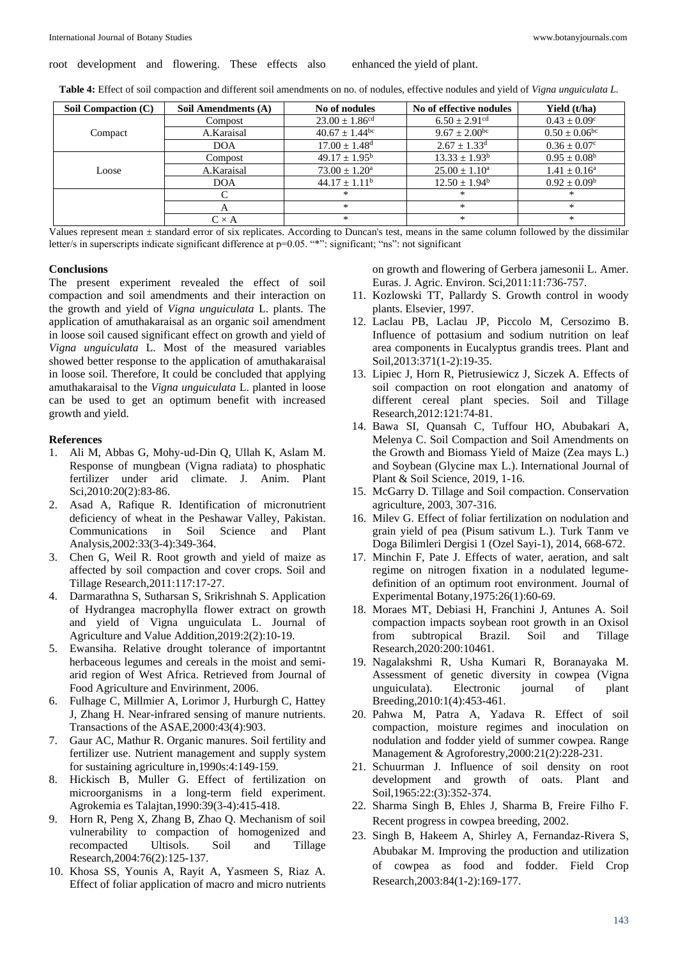**Table 4:** Effect of soil compaction and different soil amendments on no. of nodules, effective nodules and yield of *Vigna unguiculata L.*

| Soil Compaction (C) | Soil Amendments (A) | No of nodules                  | No of effective nodules       | Yield (t/ha)                  |
|---------------------|---------------------|--------------------------------|-------------------------------|-------------------------------|
| Compact             | Compost             | $23.00 \pm 1.86$ <sup>cd</sup> | $6.50 \pm 2.91$ <sup>cd</sup> | $0.43 + 0.09^{\circ}$         |
|                     | A.Karaisal          | $40.67 + 1.44$ <sup>bc</sup>   | $9.67 \pm 2.00$ <sup>bc</sup> | $0.50 \pm 0.06$ <sup>bc</sup> |
|                     | <b>DOA</b>          | $17.00 \pm 1.48$ <sup>d</sup>  | $2.67 \pm 1.33$ <sup>d</sup>  | $0.36 \pm 0.07$ °             |
| Loose               | Compost             | $49.17 + 1.95^{\rm b}$         | $13.33 \pm 1.93^b$            | $0.95 \pm 0.08^{\rm b}$       |
|                     | A.Karaisal          | $73.00 \pm 1.20^{\circ}$       | $25.00 \pm 1.10^a$            | $1.41 \pm 0.16^a$             |
|                     | <b>DOA</b>          | $44.17 + 1.11^b$               | $12.50 \pm 1.94^b$            | $0.92 + 0.09^b$               |
|                     | C                   | *                              | $\approx$                     | $*$                           |
|                     | $\mathsf{A}$        | *                              | $\approx$                     | $*$                           |
|                     | $C \times A$        | *                              | $\approx$                     | $*$                           |

Values represent mean ± standard error of six replicates. According to Duncan's test, means in the same column followed by the dissimilar letter/s in superscripts indicate significant difference at p=0.05. "\*": significant; "ns": not significant

#### **Conclusions**

The present experiment revealed the effect of soil compaction and soil amendments and their interaction on the growth and yield of *Vigna unguiculata* L. plants. The application of amuthakaraisal as an organic soil amendment in loose soil caused significant effect on growth and yield of *Vigna unguiculata* L. Most of the measured variables showed better response to the application of amuthakaraisal in loose soil. Therefore, It could be concluded that applying amuthakaraisal to the *Vigna unguiculata* L. planted in loose can be used to get an optimum benefit with increased growth and yield.

#### **References**

- 1. Ali M, Abbas G, Mohy-ud-Din Q, Ullah K, Aslam M. Response of mungbean (Vigna radiata) to phosphatic fertilizer under arid climate. J. Anim. Plant Sci,2010:20(2):83-86.
- 2. Asad A, Rafique R. Identification of micronutrient deficiency of wheat in the Peshawar Valley, Pakistan. Communications in Soil Science and Plant Analysis,2002:33(3-4):349-364.
- 3. Chen G, Weil R. Root growth and yield of maize as affected by soil compaction and cover crops. Soil and Tillage Research,2011:117:17-27.
- 4. Darmarathna S, Sutharsan S, Srikrishnah S. Application of Hydrangea macrophylla flower extract on growth and yield of Vigna unguiculata L. Journal of Agriculture and Value Addition,2019:2(2):10-19.
- 5. Ewansiha. Relative drought tolerance of importantnt herbaceous legumes and cereals in the moist and semiarid region of West Africa. Retrieved from Journal of Food Agriculture and Envirinment, 2006.
- 6. Fulhage C, Millmier A, Lorimor J, Hurburgh C, Hattey J, Zhang H. Near-infrared sensing of manure nutrients. Transactions of the ASAE,2000:43(4):903.
- 7. Gaur AC, Mathur R. Organic manures. Soil fertility and fertilizer use. Nutrient management and supply system for sustaining agriculture in,1990s:4:149-159.
- 8. Hickisch B, Muller G. Effect of fertilization on microorganisms in a long-term field experiment. Agrokemia es Talajtan,1990:39(3-4):415-418.
- 9. Horn R, Peng X, Zhang B, Zhao Q. Mechanism of soil vulnerability to compaction of homogenized and recompacted Ultisols. Soil and Tillage Research,2004:76(2):125-137.
- 10. Khosa SS, Younis A, Rayit A, Yasmeen S, Riaz A. Effect of foliar application of macro and micro nutrients

on growth and flowering of Gerbera jamesonii L. Amer. Euras. J. Agric. Environ. Sci,2011:11:736-757.

- 11. Kozlowski TT, Pallardy S. Growth control in woody plants. Elsevier, 1997.
- 12. Laclau PB, Laclau JP, Piccolo M, Cersozimo B. Influence of pottasium and sodium nutrition on leaf area components in Eucalyptus grandis trees. Plant and Soil,2013:371(1-2):19-35.
- 13. Lipiec J, Horn R, Pietrusiewicz J, Siczek A. Effects of soil compaction on root elongation and anatomy of different cereal plant species. Soil and Tillage Research,2012:121:74-81.
- 14. Bawa SI, Quansah C, Tuffour HO, Abubakari A, Melenya C. Soil Compaction and Soil Amendments on the Growth and Biomass Yield of Maize (Zea mays L.) and Soybean (Glycine max L.). International Journal of Plant & Soil Science, 2019, 1-16.
- 15. McGarry D. Tillage and Soil compaction. Conservation agriculture, 2003, 307-316.
- 16. Milev G. Effect of foliar fertilization on nodulation and grain yield of pea (Pisum sativum L.). Turk Tanm ve Doga Bilimleri Dergisi 1 (Ozel Sayi-1), 2014, 668-672.
- 17. Minchin F, Pate J. Effects of water, aeration, and salt regime on nitrogen fixation in a nodulated legumedefinition of an optimum root environment. Journal of Experimental Botany,1975:26(1):60-69.
- 18. Moraes MT, Debiasi H, Franchini J, Antunes A. Soil compaction impacts soybean root growth in an Oxisol from subtropical Brazil. Soil and Tillage Research,2020:200:10461.
- 19. Nagalakshmi R, Usha Kumari R, Boranayaka M. Assessment of genetic diversity in cowpea (Vigna unguiculata). Electronic journal of plant Breeding,2010:1(4):453-461.
- 20. Pahwa M, Patra A, Yadava R. Effect of soil compaction, moisture regimes and inoculation on nodulation and fodder yield of summer cowpea. Range Management & Agroforestry,2000:21(2):228-231.
- 21. Schuurman J. Influence of soil density on root development and growth of oats. Plant and Soil,1965:22:(3):352-374.
- 22. Sharma Singh B, Ehles J, Sharma B, Freire Filho F. Recent progress in cowpea breeding, 2002.
- 23. Singh B, Hakeem A, Shirley A, Fernandaz-Rivera S, Abubakar M. Improving the production and utilization of cowpea as food and fodder. Field Crop Research,2003:84(1-2):169-177.